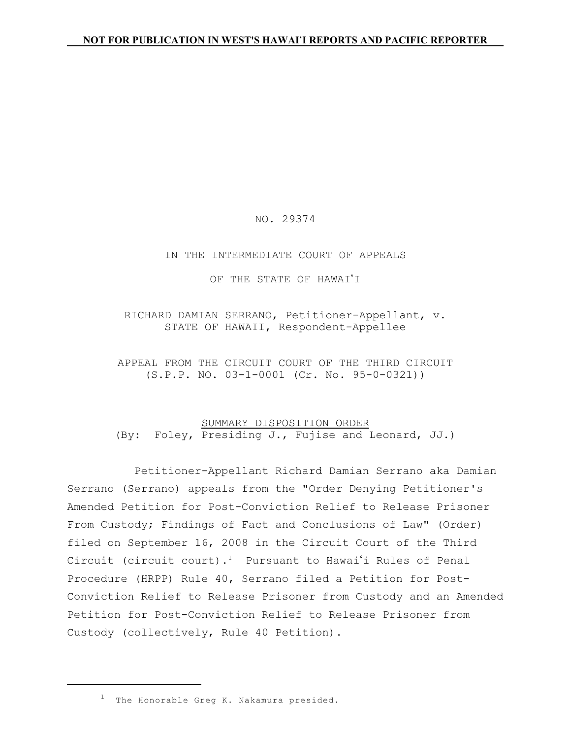### NO. 29374

#### IN THE INTERMEDIATE COURT OF APPEALS

OF THE STATE OF HAWAI'I

RICHARD DAMIAN SERRANO, Petitioner-Appellant, v. STATE OF HAWAII, Respondent-Appellee

APPEAL FROM THE CIRCUIT COURT OF THE THIRD CIRCUIT (S.P.P. NO. 03-1-0001 (Cr. No. 95-0-0321))

# SUMMARY DISPOSITION ORDER (By: Foley, Presiding J., Fujise and Leonard, JJ.)

Petitioner-Appellant Richard Damian Serrano aka Damian Serrano (Serrano) appeals from the "Order Denying Petitioner's Amended Petition for Post-Conviction Relief to Release Prisoner From Custody; Findings of Fact and Conclusions of Law" (Order) filed on September 16, 2008 in the Circuit Court of the Third Circuit (circuit court).<sup>1</sup> Pursuant to Hawai'i Rules of Penal Procedure (HRPP) Rule 40, Serrano filed a Petition for Post-Conviction Relief to Release Prisoner from Custody and an Amended Petition for Post-Conviction Relief to Release Prisoner from Custody (collectively, Rule 40 Petition).

 $^1$  The Honorable Greg K. Nakamura presided.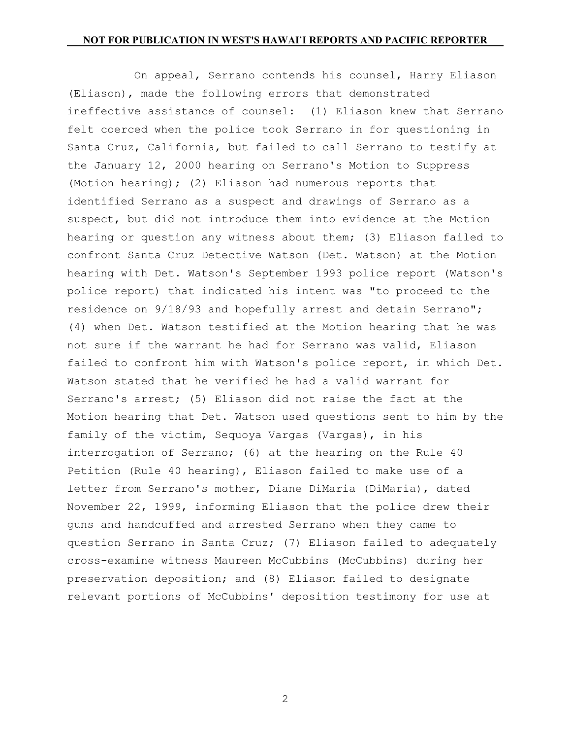On appeal, Serrano contends his counsel, Harry Eliason (Eliason), made the following errors that demonstrated ineffective assistance of counsel: (1) Eliason knew that Serrano felt coerced when the police took Serrano in for questioning in Santa Cruz, California, but failed to call Serrano to testify at the January 12, 2000 hearing on Serrano's Motion to Suppress (Motion hearing); (2) Eliason had numerous reports that identified Serrano as a suspect and drawings of Serrano as a suspect, but did not introduce them into evidence at the Motion hearing or question any witness about them; (3) Eliason failed to confront Santa Cruz Detective Watson (Det. Watson) at the Motion hearing with Det. Watson's September 1993 police report (Watson's police report) that indicated his intent was "to proceed to the residence on 9/18/93 and hopefully arrest and detain Serrano"; (4) when Det. Watson testified at the Motion hearing that he was not sure if the warrant he had for Serrano was valid, Eliason failed to confront him with Watson's police report, in which Det. Watson stated that he verified he had a valid warrant for Serrano's arrest; (5) Eliason did not raise the fact at the Motion hearing that Det. Watson used questions sent to him by the family of the victim, Sequoya Vargas (Vargas), in his interrogation of Serrano; (6) at the hearing on the Rule 40 Petition (Rule 40 hearing), Eliason failed to make use of a letter from Serrano's mother, Diane DiMaria (DiMaria), dated November 22, 1999, informing Eliason that the police drew their guns and handcuffed and arrested Serrano when they came to question Serrano in Santa Cruz; (7) Eliason failed to adequately cross-examine witness Maureen McCubbins (McCubbins) during her preservation deposition; and (8) Eliason failed to designate relevant portions of McCubbins' deposition testimony for use at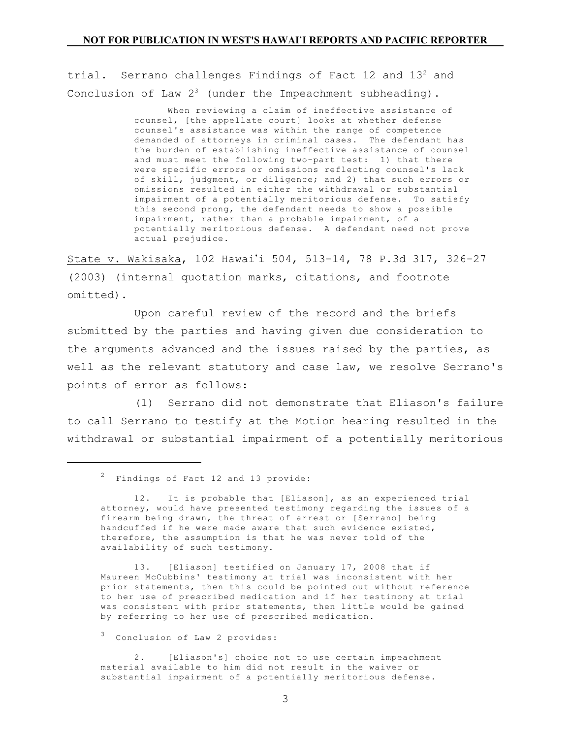trial. Serrano challenges Findings of Fact 12 and 13<sup>2</sup> and Conclusion of Law  $2^3$  (under the Impeachment subheading).

> When reviewing a claim of ineffective assistance of counsel, [the appellate court] looks at whether defense counsel's assistance was within the range of competence demanded of attorneys in criminal cases. The defendant has the burden of establishing ineffective assistance of counsel and must meet the following two-part test: 1) that there were specific errors or omissions reflecting counsel's lack of skill, judgment, or diligence; and 2) that such errors or omissions resulted in either the withdrawal or substantial impairment of a potentially meritorious defense. To satisfy this second prong, the defendant needs to show a possible impairment, rather than a probable impairment, of a potentially meritorious defense. A defendant need not prove actual prejudice.

State v. Wakisaka, 102 Hawai'i 504, 513-14, 78 P.3d 317, 326-27 (2003) (internal quotation marks, citations, and footnote omitted).

Upon careful review of the record and the briefs submitted by the parties and having given due consideration to the arguments advanced and the issues raised by the parties, as well as the relevant statutory and case law, we resolve Serrano's points of error as follows:

(1) Serrano did not demonstrate that Eliason's failure to call Serrano to testify at the Motion hearing resulted in the withdrawal or substantial impairment of a potentially meritorious

13. [Eliason] testified on January 17, 2008 that if Maureen McCubbins' testimony at trial was inconsistent with her prior statements, then this could be pointed out without reference to her use of prescribed medication and if her testimony at trial was consistent with prior statements, then little would be gained by referring to her use of prescribed medication.

3 Conclusion of Law 2 provides:

2. [Eliason's] choice not to use certain impeachment material available to him did not result in the waiver or substantial impairment of a potentially meritorious defense.

 $2^2$  Findings of Fact 12 and 13 provide:

<sup>12.</sup> It is probable that [Eliason], as an experienced trial attorney, would have presented testimony regarding the issues of a firearm being drawn, the threat of arrest or [Serrano] being handcuffed if he were made aware that such evidence existed, therefore, the assumption is that he was never told of the availability of such testimony.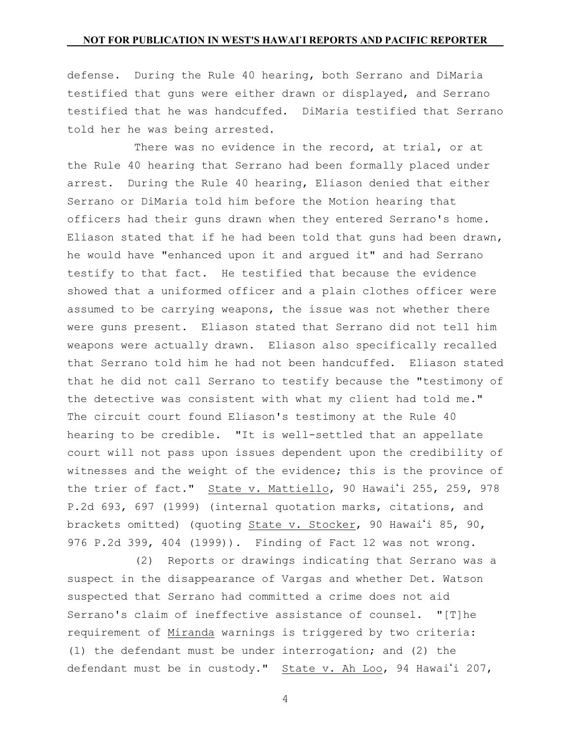defense. During the Rule 40 hearing, both Serrano and DiMaria testified that guns were either drawn or displayed, and Serrano testified that he was handcuffed. DiMaria testified that Serrano told her he was being arrested.

There was no evidence in the record, at trial, or at the Rule 40 hearing that Serrano had been formally placed under arrest. During the Rule 40 hearing, Eliason denied that either Serrano or DiMaria told him before the Motion hearing that officers had their guns drawn when they entered Serrano's home. Eliason stated that if he had been told that guns had been drawn, he would have "enhanced upon it and argued it" and had Serrano testify to that fact. He testified that because the evidence showed that a uniformed officer and a plain clothes officer were assumed to be carrying weapons, the issue was not whether there were guns present. Eliason stated that Serrano did not tell him weapons were actually drawn. Eliason also specifically recalled that Serrano told him he had not been handcuffed. Eliason stated that he did not call Serrano to testify because the "testimony of the detective was consistent with what my client had told me." The circuit court found Eliason's testimony at the Rule 40 hearing to be credible. "It is well-settled that an appellate court will not pass upon issues dependent upon the credibility of witnesses and the weight of the evidence; this is the province of the trier of fact." State v. Mattiello, 90 Hawai'i 255, 259, 978 P.2d 693, 697 (1999) (internal quotation marks, citations, and brackets omitted) (quoting State v. Stocker, 90 Hawai'i 85, 90, 976 P.2d 399, 404 (1999)). Finding of Fact 12 was not wrong.

(2) Reports or drawings indicating that Serrano was a suspect in the disappearance of Vargas and whether Det. Watson suspected that Serrano had committed a crime does not aid Serrano's claim of ineffective assistance of counsel. "[T]he requirement of Miranda warnings is triggered by two criteria: (1) the defendant must be under interrogation; and (2) the defendant must be in custody." State v. Ah Loo, 94 Hawai'i 207,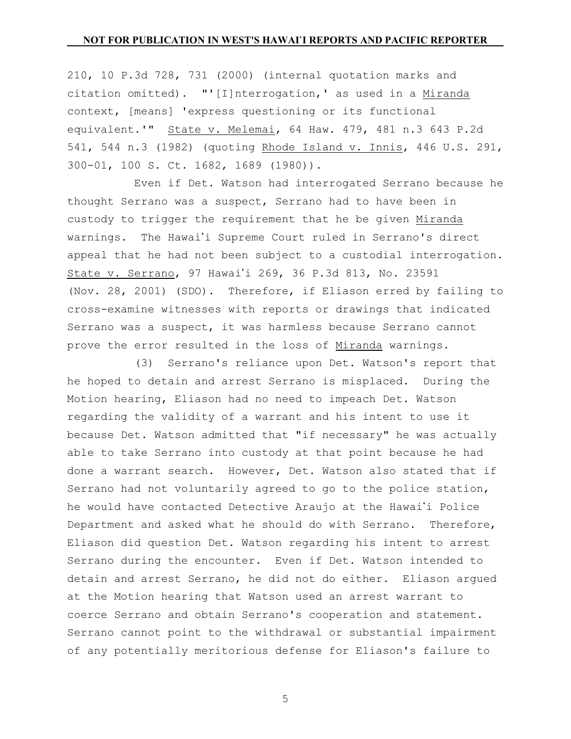210, 10 P.3d 728, 731 (2000) (internal quotation marks and citation omitted). "'[I]nterrogation,' as used in a Miranda context, [means] 'express questioning or its functional equivalent.'" State v. Melemai, 64 Haw. 479, 481 n.3 643 P.2d 541, 544 n.3 (1982) (quoting Rhode Island v. Innis, 446 U.S. 291, 300-01, 100 S. Ct. 1682, 1689 (1980)).

Even if Det. Watson had interrogated Serrano because he thought Serrano was a suspect, Serrano had to have been in custody to trigger the requirement that he be given Miranda warnings. The Hawai'i Supreme Court ruled in Serrano's direct appeal that he had not been subject to a custodial interrogation. State v. Serrano, 97 Hawai'i 269, 36 P.3d 813, No. 23591 (Nov. 28, 2001) (SDO). Therefore, if Eliason erred by failing to cross-examine witnesses with reports or drawings that indicated Serrano was a suspect, it was harmless because Serrano cannot prove the error resulted in the loss of Miranda warnings.

(3) Serrano's reliance upon Det. Watson's report that he hoped to detain and arrest Serrano is misplaced. During the Motion hearing, Eliason had no need to impeach Det. Watson regarding the validity of a warrant and his intent to use it because Det. Watson admitted that "if necessary" he was actually able to take Serrano into custody at that point because he had done a warrant search. However, Det. Watson also stated that if Serrano had not voluntarily agreed to go to the police station, he would have contacted Detective Araujo at the Hawai'i Police Department and asked what he should do with Serrano. Therefore, Eliason did question Det. Watson regarding his intent to arrest Serrano during the encounter. Even if Det. Watson intended to detain and arrest Serrano, he did not do either. Eliason argued at the Motion hearing that Watson used an arrest warrant to coerce Serrano and obtain Serrano's cooperation and statement. Serrano cannot point to the withdrawal or substantial impairment of any potentially meritorious defense for Eliason's failure to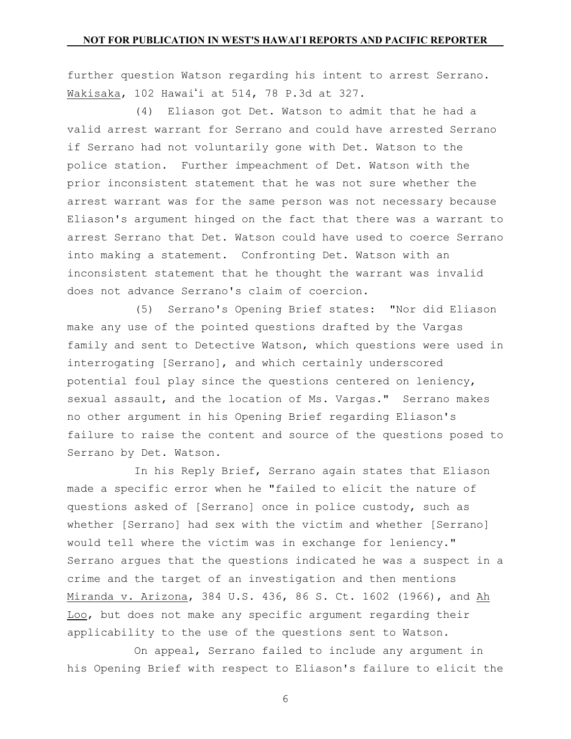further question Watson regarding his intent to arrest Serrano. Wakisaka, 102 Hawai'i at 514, 78 P.3d at 327.

(4) Eliason got Det. Watson to admit that he had a valid arrest warrant for Serrano and could have arrested Serrano if Serrano had not voluntarily gone with Det. Watson to the police station. Further impeachment of Det. Watson with the prior inconsistent statement that he was not sure whether the arrest warrant was for the same person was not necessary because Eliason's argument hinged on the fact that there was a warrant to arrest Serrano that Det. Watson could have used to coerce Serrano into making a statement. Confronting Det. Watson with an inconsistent statement that he thought the warrant was invalid does not advance Serrano's claim of coercion.

(5) Serrano's Opening Brief states: "Nor did Eliason make any use of the pointed questions drafted by the Vargas family and sent to Detective Watson, which questions were used in interrogating [Serrano], and which certainly underscored potential foul play since the questions centered on leniency, sexual assault, and the location of Ms. Vargas." Serrano makes no other argument in his Opening Brief regarding Eliason's failure to raise the content and source of the questions posed to Serrano by Det. Watson.

In his Reply Brief, Serrano again states that Eliason made a specific error when he "failed to elicit the nature of questions asked of [Serrano] once in police custody, such as whether [Serrano] had sex with the victim and whether [Serrano] would tell where the victim was in exchange for leniency." Serrano argues that the questions indicated he was a suspect in a crime and the target of an investigation and then mentions Miranda v. Arizona, 384 U.S. 436, 86 S. Ct. 1602 (1966), and Ah Loo, but does not make any specific argument regarding their applicability to the use of the questions sent to Watson.

On appeal, Serrano failed to include any argument in his Opening Brief with respect to Eliason's failure to elicit the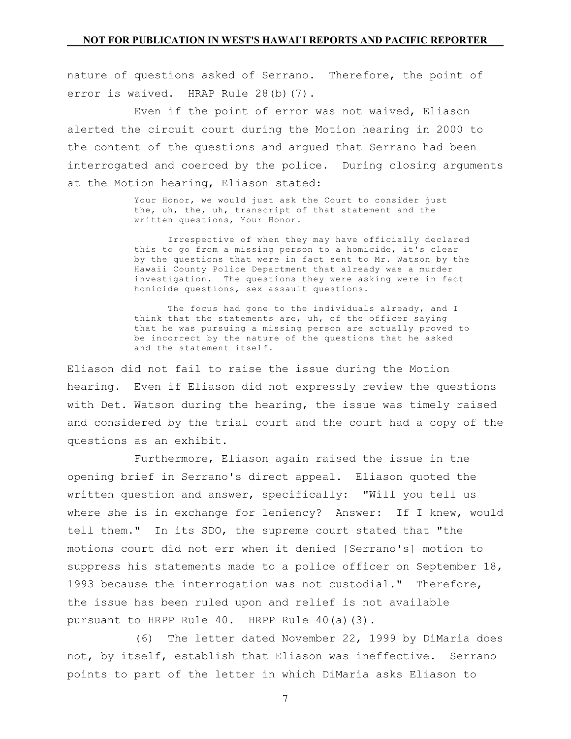nature of questions asked of Serrano. Therefore, the point of error is waived. HRAP Rule 28(b)(7).

Even if the point of error was not waived, Eliason alerted the circuit court during the Motion hearing in 2000 to the content of the questions and argued that Serrano had been interrogated and coerced by the police. During closing arguments at the Motion hearing, Eliason stated:

> Your Honor, we would just ask the Court to consider just the, uh, the, uh, transcript of that statement and the written questions, Your Honor.

Irrespective of when they may have officially declared this to go from a missing person to a homicide, it's clear by the questions that were in fact sent to Mr. Watson by the Hawaii County Police Department that already was a murder investigation. The questions they were asking were in fact homicide questions, sex assault questions.

The focus had gone to the individuals already, and I think that the statements are, uh, of the officer saying that he was pursuing a missing person are actually proved to be incorrect by the nature of the questions that he asked and the statement itself.

Eliason did not fail to raise the issue during the Motion hearing. Even if Eliason did not expressly review the questions with Det. Watson during the hearing, the issue was timely raised and considered by the trial court and the court had a copy of the questions as an exhibit.

Furthermore, Eliason again raised the issue in the opening brief in Serrano's direct appeal. Eliason quoted the written question and answer, specifically: "Will you tell us where she is in exchange for leniency? Answer: If I knew, would tell them." In its SDO, the supreme court stated that "the motions court did not err when it denied [Serrano's] motion to suppress his statements made to a police officer on September 18, 1993 because the interrogation was not custodial." Therefore, the issue has been ruled upon and relief is not available pursuant to HRPP Rule 40. HRPP Rule 40(a)(3).

(6) The letter dated November 22, 1999 by DiMaria does not, by itself, establish that Eliason was ineffective. Serrano points to part of the letter in which DiMaria asks Eliason to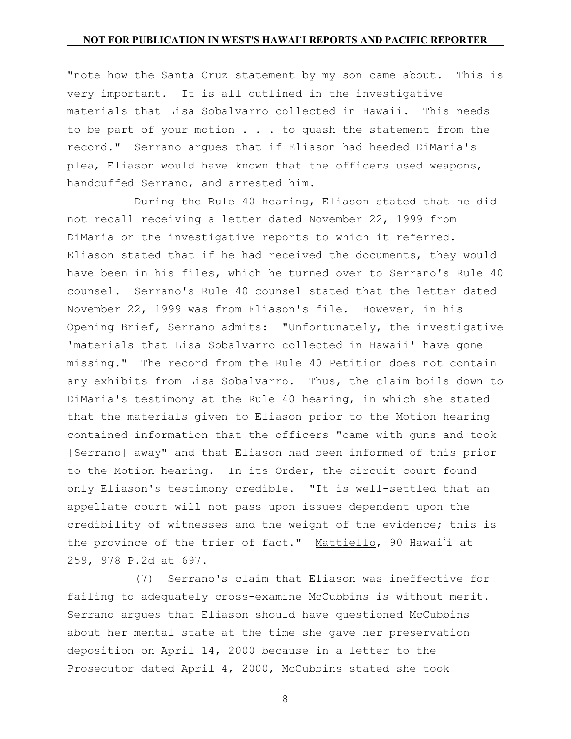"note how the Santa Cruz statement by my son came about. This is very important. It is all outlined in the investigative materials that Lisa Sobalvarro collected in Hawaii. This needs to be part of your motion . . . to quash the statement from the record." Serrano argues that if Eliason had heeded DiMaria's plea, Eliason would have known that the officers used weapons, handcuffed Serrano, and arrested him.

During the Rule 40 hearing, Eliason stated that he did not recall receiving a letter dated November 22, 1999 from DiMaria or the investigative reports to which it referred. Eliason stated that if he had received the documents, they would have been in his files, which he turned over to Serrano's Rule 40 counsel. Serrano's Rule 40 counsel stated that the letter dated November 22, 1999 was from Eliason's file. However, in his Opening Brief, Serrano admits: "Unfortunately, the investigative 'materials that Lisa Sobalvarro collected in Hawaii' have gone missing." The record from the Rule 40 Petition does not contain any exhibits from Lisa Sobalvarro. Thus, the claim boils down to DiMaria's testimony at the Rule 40 hearing, in which she stated that the materials given to Eliason prior to the Motion hearing contained information that the officers "came with guns and took [Serrano] away" and that Eliason had been informed of this prior to the Motion hearing. In its Order, the circuit court found only Eliason's testimony credible. "It is well-settled that an appellate court will not pass upon issues dependent upon the credibility of witnesses and the weight of the evidence; this is the province of the trier of fact." Mattiello, 90 Hawai'i at 259, 978 P.2d at 697.

(7) Serrano's claim that Eliason was ineffective for failing to adequately cross-examine McCubbins is without merit. Serrano argues that Eliason should have questioned McCubbins about her mental state at the time she gave her preservation deposition on April 14, 2000 because in a letter to the Prosecutor dated April 4, 2000, McCubbins stated she took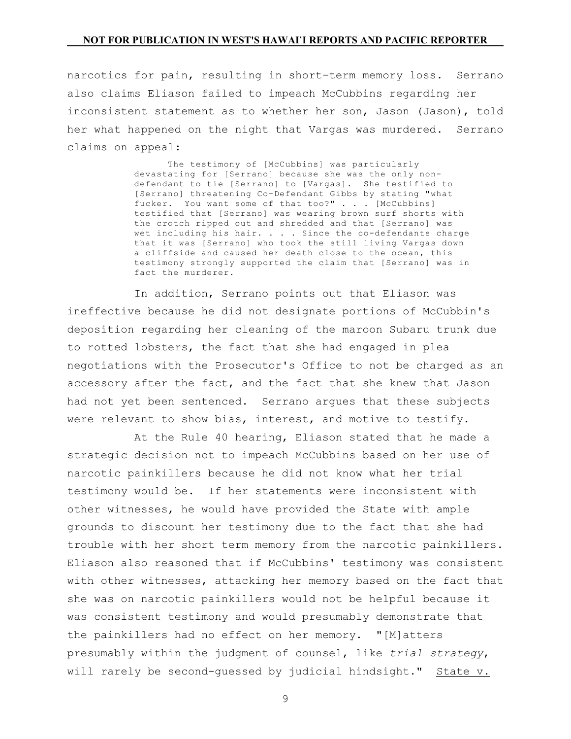narcotics for pain, resulting in short-term memory loss. Serrano also claims Eliason failed to impeach McCubbins regarding her inconsistent statement as to whether her son, Jason (Jason), told her what happened on the night that Vargas was murdered. Serrano claims on appeal:

> The testimony of [McCubbins] was particularly devastating for [Serrano] because she was the only non defendant to tie [Serrano] to [Vargas]. She testified to [Serrano] threatening Co-Defendant Gibbs by stating "what fucker. You want some of that too?" . . . [McCubbins] testified that [Serrano] was wearing brown surf shorts with the crotch ripped out and shredded and that [Serrano] was wet including his hair. . . . Since the co-defendants charge that it was [Serrano] who took the still living Vargas down a cliffside and caused her death close to the ocean, this testimony strongly supported the claim that [Serrano] was in fact the murderer.

In addition, Serrano points out that Eliason was ineffective because he did not designate portions of McCubbin's deposition regarding her cleaning of the maroon Subaru trunk due to rotted lobsters, the fact that she had engaged in plea negotiations with the Prosecutor's Office to not be charged as an accessory after the fact, and the fact that she knew that Jason had not yet been sentenced. Serrano argues that these subjects were relevant to show bias, interest, and motive to testify.

At the Rule 40 hearing, Eliason stated that he made a strategic decision not to impeach McCubbins based on her use of narcotic painkillers because he did not know what her trial testimony would be. If her statements were inconsistent with other witnesses, he would have provided the State with ample grounds to discount her testimony due to the fact that she had trouble with her short term memory from the narcotic painkillers. Eliason also reasoned that if McCubbins' testimony was consistent with other witnesses, attacking her memory based on the fact that she was on narcotic painkillers would not be helpful because it was consistent testimony and would presumably demonstrate that the painkillers had no effect on her memory. "[M]atters presumably within the judgment of counsel, like *trial strategy*, will rarely be second-guessed by judicial hindsight." State v.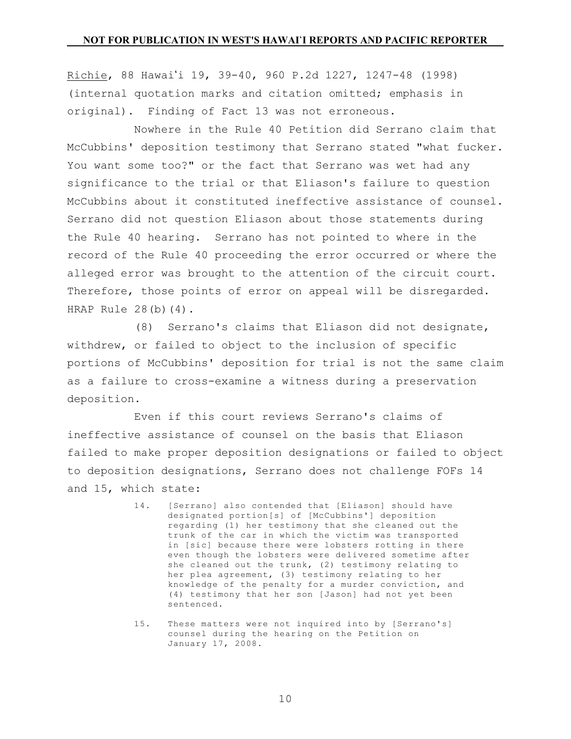Richie, 88 Hawai'i 19, 39-40, 960 P.2d 1227, 1247-48 (1998) (internal quotation marks and citation omitted; emphasis in original). Finding of Fact 13 was not erroneous.

Nowhere in the Rule 40 Petition did Serrano claim that McCubbins' deposition testimony that Serrano stated "what fucker. You want some too?" or the fact that Serrano was wet had any significance to the trial or that Eliason's failure to question McCubbins about it constituted ineffective assistance of counsel. Serrano did not question Eliason about those statements during the Rule 40 hearing. Serrano has not pointed to where in the record of the Rule 40 proceeding the error occurred or where the alleged error was brought to the attention of the circuit court. Therefore, those points of error on appeal will be disregarded. HRAP Rule 28(b)(4).

(8) Serrano's claims that Eliason did not designate, withdrew, or failed to object to the inclusion of specific portions of McCubbins' deposition for trial is not the same claim as a failure to cross-examine a witness during a preservation deposition.

Even if this court reviews Serrano's claims of ineffective assistance of counsel on the basis that Eliason failed to make proper deposition designations or failed to object to deposition designations, Serrano does not challenge FOFs 14 and 15, which state:

- 14. [Serrano] also contended that [Eliason] should have designated portion[s] of [McCubbins'] deposition regarding (1) her testimony that she cleaned out the trunk of the car in which the victim was transported in [sic] because there were lobsters rotting in there even though the lobsters were delivered sometime after she cleaned out the trunk, (2) testimony relating to her plea agreement, (3) testimony relating to her knowledge of the penalty for a murder conviction, and (4) testimony that her son [Jason] had not yet been sentenced.
- 15. These matters were not inquired into by [Serrano's] counsel during the hearing on the Petition on January 17, 2008.